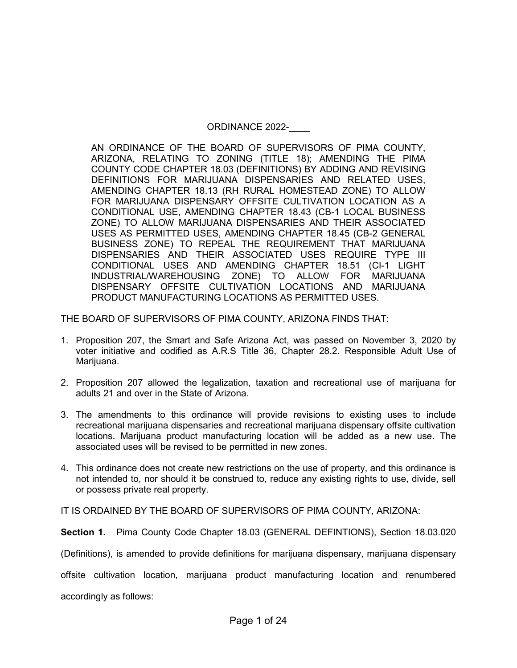## ORDINANCE 2022-

AN ORDINANCE OF THE BOARD OF SUPERVISORS OF PIMA COUNTY, ARIZONA, RELATING TO ZONING (TITLE 18); AMENDING THE PIMA COUNTY CODE CHAPTER 18.03 (DEFINITIONS) BY ADDING AND REVISING DEFINITIONS FOR MARIJUANA DISPENSARIES AND RELATED USES, AMENDING CHAPTER 18.13 (RH RURAL HOMESTEAD ZONE) TO ALLOW FOR MARIJUANA DISPENSARY OFFSITE CULTIVATION LOCATION AS A CONDITIONAL USE, AMENDING CHAPTER 18.43 (CB-1 LOCAL BUSINESS ZONE) TO ALLOW MARIJUANA DISPENSARIES AND THEIR ASSOCIATED USES AS PERMITTED USES, AMENDING CHAPTER 18.45 (CB-2 GENERAL BUSINESS ZONE) TO REPEAL THE REQUIREMENT THAT MARIJUANA DISPENSARIES AND THEIR ASSOCIATED USES REQUIRE TYPE III CONDITIONAL USES AND AMENDING CHAPTER 18.51 (CI-1 LIGHT INDUSTRIAL/WAREHOUSING ZONE) TO ALLOW FOR MARIJUANA DISPENSARY OFFSITE CULTIVATION LOCATIONS AND MARIJUANA PRODUCT MANUFACTURING LOCATIONS AS PERMITTED USES.

THE BOARD OF SUPERVISORS OF PIMA COUNTY, ARIZONA FINDS THAT:

- 1. Proposition 207, the Smart and Safe Arizona Act, was passed on November 3, 2020 by voter initiative and codified as A.R.S Title 36, Chapter 28.2. Responsible Adult Use of Marijuana.
- 2. Proposition 207 allowed the legalization, taxation and recreational use of marijuana for adults 21 and over in the State of Arizona.
- 3. The amendments to this ordinance will provide revisions to existing uses to include recreational marijuana dispensaries and recreational marijuana dispensary offsite cultivation locations. Marijuana product manufacturing location will be added as a new use. The associated uses will be revised to be permitted in new zones.
- 4. This ordinance does not create new restrictions on the use of property, and this ordinance is not intended to, nor should it be construed to, reduce any existing rights to use, divide, sell or possess private real property.

IT IS ORDAINED BY THE BOARD OF SUPERVISORS OF PIMA COUNTY, ARIZONA:

**Section 1.** Pima County Code Chapter 18.03 (GENERAL DEFINTIONS), Section 18.03.020

(Definitions), is amended to provide definitions for marijuana dispensary, marijuana dispensary

offsite cultivation location, marijuana product manufacturing location and renumbered

accordingly as follows: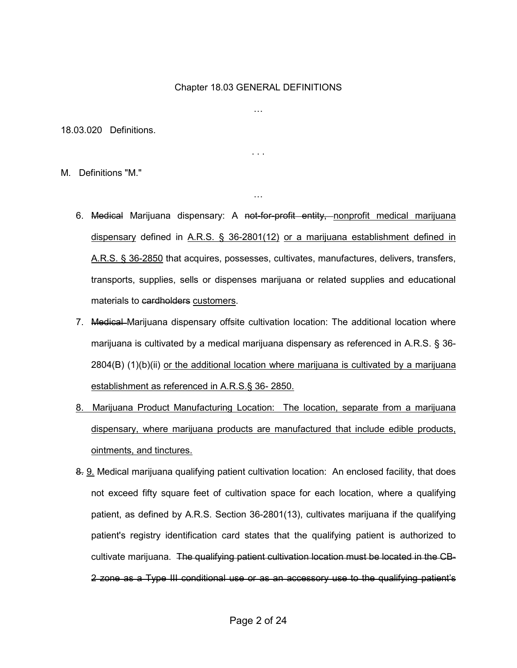### Chapter 18.03 GENERAL DEFINITIONS

…

. . .

…

18.03.020 Definitions.

M. Definitions "M."

- 6. Medical Marijuana dispensary: A not-for-profit entity, nonprofit medical marijuana dispensary defined in A.R.S. § 36-2801(12) or a marijuana establishment defined in A.R.S. § 36-2850 that acquires, possesses, cultivates, manufactures, delivers, transfers, transports, supplies, sells or dispenses marijuana or related supplies and educational materials to cardholders customers.
- 7. Medical Marijuana dispensary offsite cultivation location: The additional location where marijuana is cultivated by a medical marijuana dispensary as referenced in A.R.S. § 36- 2804(B) (1)(b)(ii) or the additional location where marijuana is cultivated by a marijuana establishment as referenced in A.R.S.§ 36- 2850.
- 8. Marijuana Product Manufacturing Location: The location, separate from a marijuana dispensary, where marijuana products are manufactured that include edible products, ointments, and tinctures.
- 8. 9. Medical marijuana qualifying patient cultivation location: An enclosed facility, that does not exceed fifty square feet of cultivation space for each location, where a qualifying patient, as defined by A.R.S. Section 36-2801(13), cultivates marijuana if the qualifying patient's registry identification card states that the qualifying patient is authorized to cultivate marijuana. The qualifying patient cultivation location must be located in the CB-2 zone as a Type III conditional use or as an accessory use to the qualifying patient's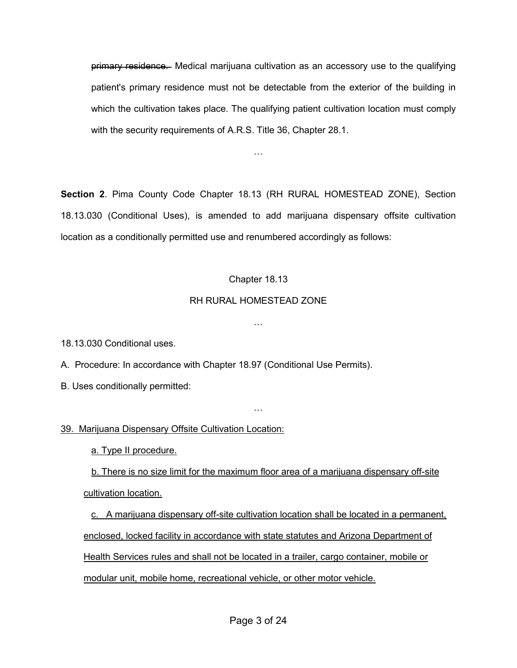primary residence. Medical marijuana cultivation as an accessory use to the qualifying patient's primary residence must not be detectable from the exterior of the building in which the cultivation takes place. The qualifying patient cultivation location must comply with the security requirements of A.R.S. Title 36, Chapter 28.1.

**Section 2**. Pima County Code Chapter 18.13 (RH RURAL HOMESTEAD ZONE), Section 18.13.030 (Conditional Uses), is amended to add marijuana dispensary offsite cultivation location as a conditionally permitted use and renumbered accordingly as follows:

…

## Chapter 18.13

## RH RURAL HOMESTEAD ZONE

…

18.13.030 Conditional uses.

A. Procedure: In accordance with Chapter 18.97 (Conditional Use Permits).

B. Uses conditionally permitted:

## 39. Marijuana Dispensary Offsite Cultivation Location:

a. Type II procedure.

 b. There is no size limit for the maximum floor area of a marijuana dispensary off-site cultivation location.

…

c. A marijuana dispensary off-site cultivation location shall be located in a permanent, enclosed, locked facility in accordance with state statutes and Arizona Department of Health Services rules and shall not be located in a trailer, cargo container, mobile or modular unit, mobile home, recreational vehicle, or other motor vehicle.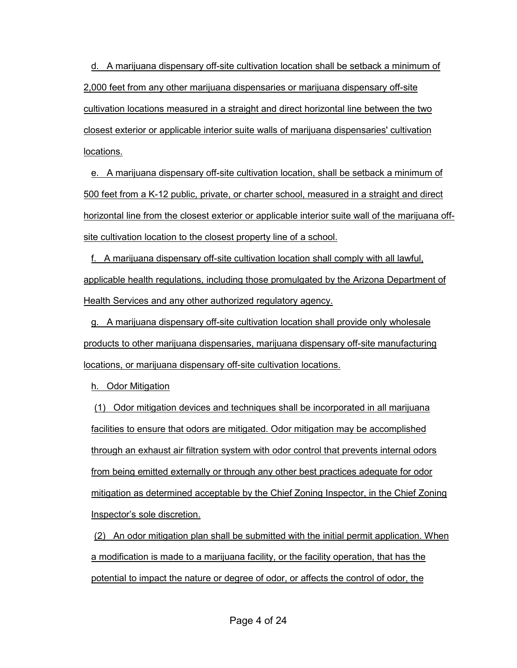d. A marijuana dispensary off-site cultivation location shall be setback a minimum of 2,000 feet from any other marijuana dispensaries or marijuana dispensary off-site cultivation locations measured in a straight and direct horizontal line between the two closest exterior or applicable interior suite walls of marijuana dispensaries' cultivation locations.

e. A marijuana dispensary off-site cultivation location, shall be setback a minimum of 500 feet from a K-12 public, private, or charter school, measured in a straight and direct horizontal line from the closest exterior or applicable interior suite wall of the marijuana offsite cultivation location to the closest property line of a school.

f. A marijuana dispensary off-site cultivation location shall comply with all lawful, applicable health regulations, including those promulgated by the Arizona Department of Health Services and any other authorized regulatory agency.

g. A marijuana dispensary off-site cultivation location shall provide only wholesale products to other marijuana dispensaries, marijuana dispensary off-site manufacturing locations, or marijuana dispensary off-site cultivation locations.

h. Odor Mitigation

(1) Odor mitigation devices and techniques shall be incorporated in all marijuana facilities to ensure that odors are mitigated. Odor mitigation may be accomplished through an exhaust air filtration system with odor control that prevents internal odors from being emitted externally or through any other best practices adequate for odor mitigation as determined acceptable by the Chief Zoning Inspector, in the Chief Zoning Inspector's sole discretion.

(2) An odor mitigation plan shall be submitted with the initial permit application. When a modification is made to a marijuana facility, or the facility operation, that has the potential to impact the nature or degree of odor, or affects the control of odor, the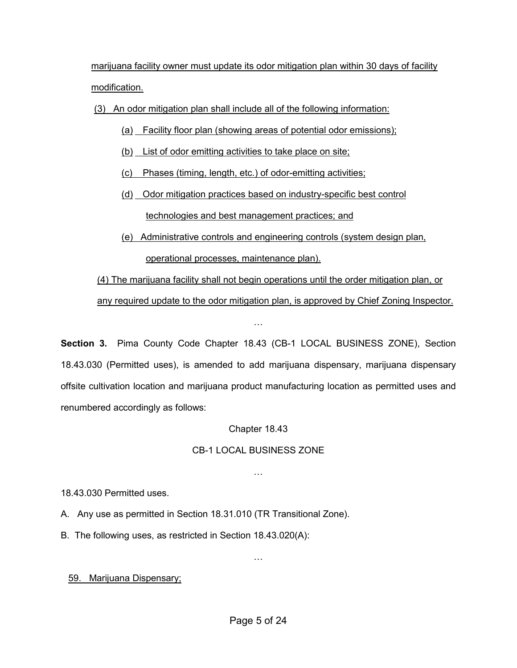marijuana facility owner must update its odor mitigation plan within 30 days of facility modification.

(3) An odor mitigation plan shall include all of the following information:

- (a) Facility floor plan (showing areas of potential odor emissions);
- (b) List of odor emitting activities to take place on site;
- (c) Phases (timing, length, etc.) of odor-emitting activities;
- (d) Odor mitigation practices based on industry-specific best control technologies and best management practices; and
- (e) Administrative controls and engineering controls (system design plan, operational processes, maintenance plan).

(4) The marijuana facility shall not begin operations until the order mitigation plan, or any required update to the odor mitigation plan, is approved by Chief Zoning Inspector.

**Section 3.** Pima County Code Chapter 18.43 (CB-1 LOCAL BUSINESS ZONE), Section 18.43.030 (Permitted uses), is amended to add marijuana dispensary, marijuana dispensary offsite cultivation location and marijuana product manufacturing location as permitted uses and renumbered accordingly as follows:

…

Chapter 18.43

## CB-1 LOCAL BUSINESS ZONE

…

18.43.030 Permitted uses.

A. Any use as permitted in Section 18.31.010 (TR Transitional Zone).

B. The following uses, as restricted in Section 18.43.020(A):

59. Marijuana Dispensary;

…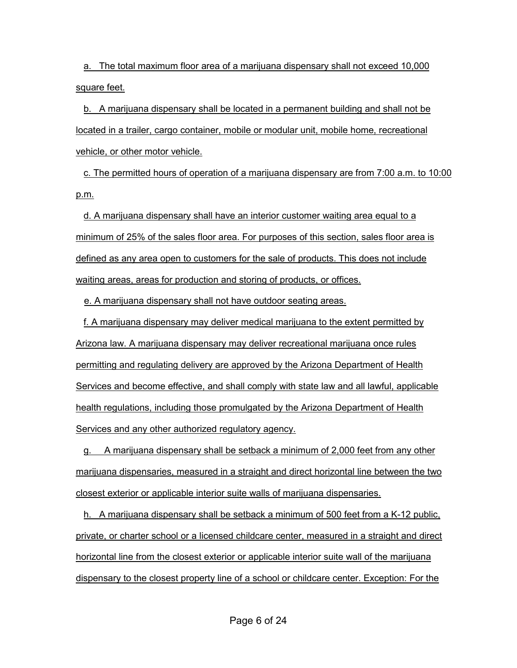a. The total maximum floor area of a marijuana dispensary shall not exceed 10,000 square feet.

b. A marijuana dispensary shall be located in a permanent building and shall not be located in a trailer, cargo container, mobile or modular unit, mobile home, recreational vehicle, or other motor vehicle.

c. The permitted hours of operation of a marijuana dispensary are from 7:00 a.m. to 10:00 p.m.

d. A marijuana dispensary shall have an interior customer waiting area equal to a minimum of 25% of the sales floor area. For purposes of this section, sales floor area is defined as any area open to customers for the sale of products. This does not include waiting areas, areas for production and storing of products, or offices.

e. A marijuana dispensary shall not have outdoor seating areas.

f. A marijuana dispensary may deliver medical marijuana to the extent permitted by Arizona law. A marijuana dispensary may deliver recreational marijuana once rules permitting and regulating delivery are approved by the Arizona Department of Health Services and become effective, and shall comply with state law and all lawful, applicable health regulations, including those promulgated by the Arizona Department of Health Services and any other authorized regulatory agency.

g. A marijuana dispensary shall be setback a minimum of 2,000 feet from any other marijuana dispensaries, measured in a straight and direct horizontal line between the two closest exterior or applicable interior suite walls of marijuana dispensaries.

h. A marijuana dispensary shall be setback a minimum of 500 feet from a K-12 public, private, or charter school or a licensed childcare center, measured in a straight and direct horizontal line from the closest exterior or applicable interior suite wall of the marijuana dispensary to the closest property line of a school or childcare center. Exception: For the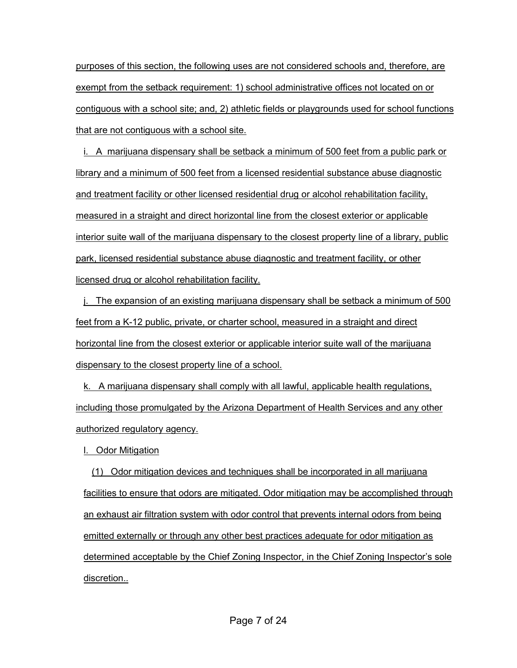purposes of this section, the following uses are not considered schools and, therefore, are exempt from the setback requirement: 1) school administrative offices not located on or contiguous with a school site; and, 2) athletic fields or playgrounds used for school functions that are not contiguous with a school site.

i. A marijuana dispensary shall be setback a minimum of 500 feet from a public park or library and a minimum of 500 feet from a licensed residential substance abuse diagnostic and treatment facility or other licensed residential drug or alcohol rehabilitation facility, measured in a straight and direct horizontal line from the closest exterior or applicable interior suite wall of the marijuana dispensary to the closest property line of a library, public park, licensed residential substance abuse diagnostic and treatment facility, or other licensed drug or alcohol rehabilitation facility.

j. The expansion of an existing marijuana dispensary shall be setback a minimum of 500 feet from a K-12 public, private, or charter school, measured in a straight and direct horizontal line from the closest exterior or applicable interior suite wall of the marijuana dispensary to the closest property line of a school.

k. A marijuana dispensary shall comply with all lawful, applicable health regulations, including those promulgated by the Arizona Department of Health Services and any other authorized regulatory agency.

l. Odor Mitigation

 (1) Odor mitigation devices and techniques shall be incorporated in all marijuana facilities to ensure that odors are mitigated. Odor mitigation may be accomplished through an exhaust air filtration system with odor control that prevents internal odors from being emitted externally or through any other best practices adequate for odor mitigation as determined acceptable by the Chief Zoning Inspector, in the Chief Zoning Inspector's sole discretion..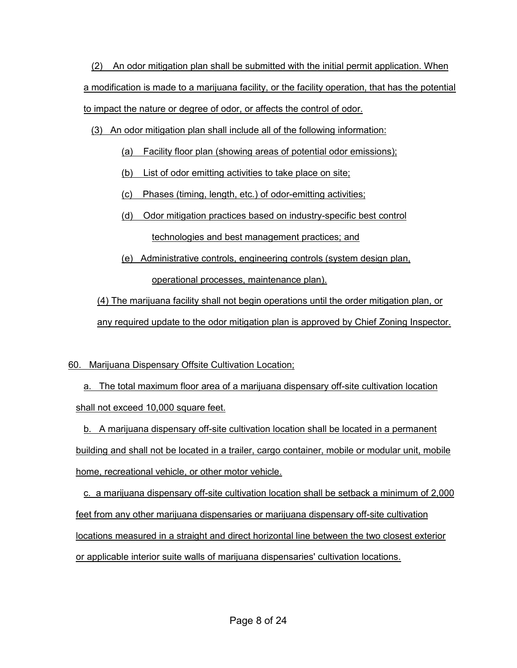(2) An odor mitigation plan shall be submitted with the initial permit application. When a modification is made to a marijuana facility, or the facility operation, that has the potential to impact the nature or degree of odor, or affects the control of odor.

(3) An odor mitigation plan shall include all of the following information:

- (a) Facility floor plan (showing areas of potential odor emissions);
- (b) List of odor emitting activities to take place on site;

(c) Phases (timing, length, etc.) of odor-emitting activities;

(d) Odor mitigation practices based on industry-specific best control

technologies and best management practices; and

(e) Administrative controls, engineering controls (system design plan,

operational processes, maintenance plan).

(4) The marijuana facility shall not begin operations until the order mitigation plan, or any required update to the odor mitigation plan is approved by Chief Zoning Inspector.

# 60. Marijuana Dispensary Offsite Cultivation Location;

a. The total maximum floor area of a marijuana dispensary off-site cultivation location shall not exceed 10,000 square feet.

b. A marijuana dispensary off-site cultivation location shall be located in a permanent building and shall not be located in a trailer, cargo container, mobile or modular unit, mobile home, recreational vehicle, or other motor vehicle.

c. a marijuana dispensary off-site cultivation location shall be setback a minimum of 2,000 feet from any other marijuana dispensaries or marijuana dispensary off-site cultivation locations measured in a straight and direct horizontal line between the two closest exterior or applicable interior suite walls of marijuana dispensaries' cultivation locations.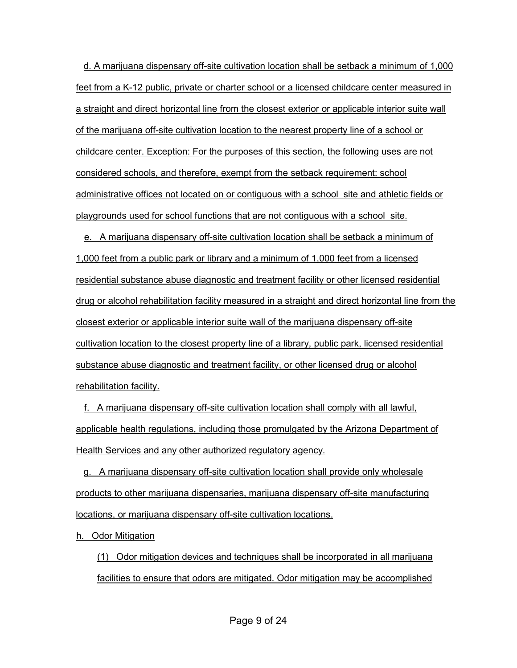d. A marijuana dispensary off-site cultivation location shall be setback a minimum of 1,000 feet from a K-12 public, private or charter school or a licensed childcare center measured in a straight and direct horizontal line from the closest exterior or applicable interior suite wall of the marijuana off-site cultivation location to the nearest property line of a school or childcare center. Exception: For the purposes of this section, the following uses are not considered schools, and therefore, exempt from the setback requirement: school administrative offices not located on or contiguous with a school site and athletic fields or playgrounds used for school functions that are not contiguous with a school site.

e. A marijuana dispensary off-site cultivation location shall be setback a minimum of 1,000 feet from a public park or library and a minimum of 1,000 feet from a licensed residential substance abuse diagnostic and treatment facility or other licensed residential drug or alcohol rehabilitation facility measured in a straight and direct horizontal line from the closest exterior or applicable interior suite wall of the marijuana dispensary off-site cultivation location to the closest property line of a library, public park, licensed residential substance abuse diagnostic and treatment facility, or other licensed drug or alcohol rehabilitation facility.

f. A marijuana dispensary off-site cultivation location shall comply with all lawful, applicable health regulations, including those promulgated by the Arizona Department of Health Services and any other authorized regulatory agency.

g. A marijuana dispensary off-site cultivation location shall provide only wholesale products to other marijuana dispensaries, marijuana dispensary off-site manufacturing locations, or marijuana dispensary off-site cultivation locations.

h. Odor Mitigation

(1) Odor mitigation devices and techniques shall be incorporated in all marijuana facilities to ensure that odors are mitigated. Odor mitigation may be accomplished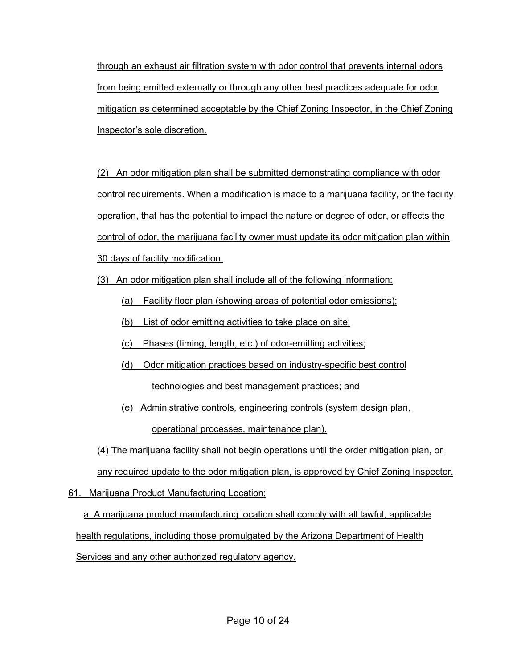through an exhaust air filtration system with odor control that prevents internal odors from being emitted externally or through any other best practices adequate for odor mitigation as determined acceptable by the Chief Zoning Inspector, in the Chief Zoning Inspector's sole discretion.

(2) An odor mitigation plan shall be submitted demonstrating compliance with odor control requirements. When a modification is made to a marijuana facility, or the facility operation, that has the potential to impact the nature or degree of odor, or affects the control of odor, the marijuana facility owner must update its odor mitigation plan within 30 days of facility modification.

(3) An odor mitigation plan shall include all of the following information:

- (a) Facility floor plan (showing areas of potential odor emissions);
- (b) List of odor emitting activities to take place on site;
- (c) Phases (timing, length, etc.) of odor-emitting activities;
- (d) Odor mitigation practices based on industry-specific best control technologies and best management practices; and
- (e) Administrative controls, engineering controls (system design plan, operational processes, maintenance plan).

(4) The marijuana facility shall not begin operations until the order mitigation plan, or

any required update to the odor mitigation plan, is approved by Chief Zoning Inspector.

61. Marijuana Product Manufacturing Location;

a. A marijuana product manufacturing location shall comply with all lawful, applicable health regulations, including those promulgated by the Arizona Department of Health Services and any other authorized regulatory agency.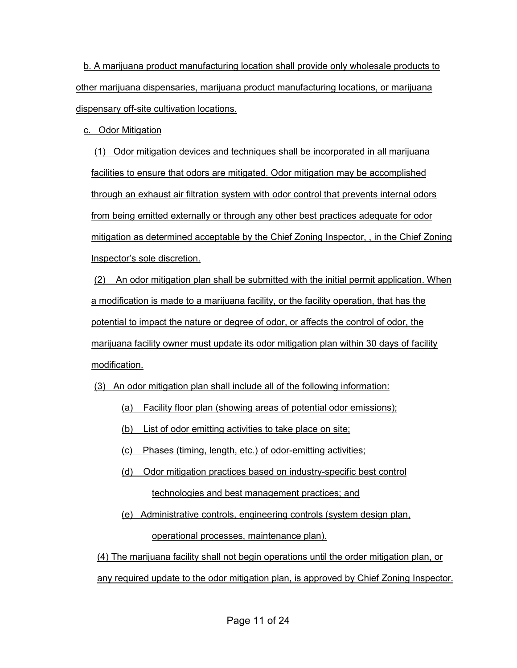b. A marijuana product manufacturing location shall provide only wholesale products to other marijuana dispensaries, marijuana product manufacturing locations, or marijuana dispensary off-site cultivation locations.

c. Odor Mitigation

(1) Odor mitigation devices and techniques shall be incorporated in all marijuana facilities to ensure that odors are mitigated. Odor mitigation may be accomplished through an exhaust air filtration system with odor control that prevents internal odors from being emitted externally or through any other best practices adequate for odor mitigation as determined acceptable by the Chief Zoning Inspector, , in the Chief Zoning Inspector's sole discretion.

(2) An odor mitigation plan shall be submitted with the initial permit application. When a modification is made to a marijuana facility, or the facility operation, that has the potential to impact the nature or degree of odor, or affects the control of odor, the marijuana facility owner must update its odor mitigation plan within 30 days of facility modification.

(3) An odor mitigation plan shall include all of the following information:

- (a) Facility floor plan (showing areas of potential odor emissions);
- (b) List of odor emitting activities to take place on site;
- (c) Phases (timing, length, etc.) of odor-emitting activities;
- (d) Odor mitigation practices based on industry-specific best control technologies and best management practices; and
- (e) Administrative controls, engineering controls (system design plan, operational processes, maintenance plan).

(4) The marijuana facility shall not begin operations until the order mitigation plan, or any required update to the odor mitigation plan, is approved by Chief Zoning Inspector.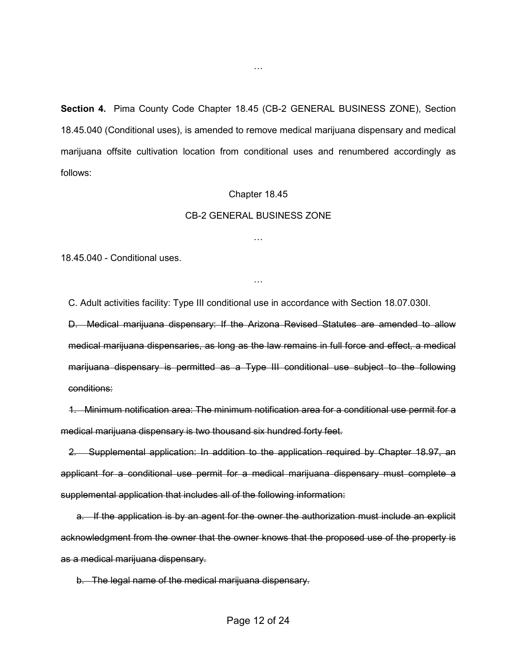**Section 4.** Pima County Code Chapter 18.45 (CB-2 GENERAL BUSINESS ZONE), Section 18.45.040 (Conditional uses), is amended to remove medical marijuana dispensary and medical marijuana offsite cultivation location from conditional uses and renumbered accordingly as follows:

#### Chapter 18.45

#### CB-2 GENERAL BUSINESS ZONE

…

…

[18.45.040](javascript:void(0)) - Conditional uses.

C. Adult activities facility: Type III conditional use in accordance with Section 18.07.030I.

D. Medical marijuana dispensary: If the Arizona Revised Statutes are amended to allow medical marijuana dispensaries, as long as the law remains in full force and effect, a medical marijuana dispensary is permitted as a Type III conditional use subject to the following conditions:

 1. Minimum notification area: The minimum notification area for a conditional use permit for a medical marijuana dispensary is two thousand six hundred forty feet.

 2. Supplemental application: In addition to the application required by Chapter 18.97, an applicant for a conditional use permit for a medical marijuana dispensary must complete a supplemental application that includes all of the following information:

 a. If the application is by an agent for the owner the authorization must include an explicit acknowledgment from the owner that the owner knows that the proposed use of the property is as a medical marijuana dispensary.

b. The legal name of the medical marijuana dispensary.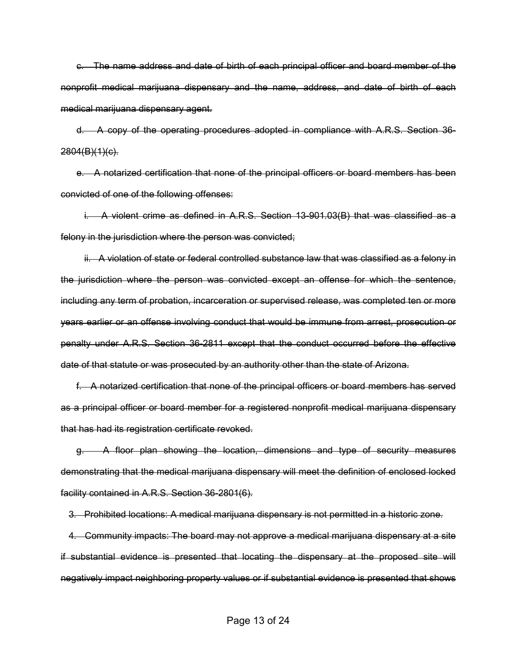c. The name address and date of birth of each principal officer and board member of the nonprofit medical marijuana dispensary and the name, address, and date of birth of each medical marijuana dispensary agent.

 d. A copy of the operating procedures adopted in compliance with A.R.S. Section 36-  $2804(B)(1)(c)$ .

 e. A notarized certification that none of the principal officers or board members has been convicted of one of the following offenses:

 i. A violent crime as defined in A.R.S. Section 13-901.03(B) that was classified as a felony in the jurisdiction where the person was convicted;

 ii. A violation of state or federal controlled substance law that was classified as a felony in the jurisdiction where the person was convicted except an offense for which the sentence, including any term of probation, incarceration or supervised release, was completed ten or more years earlier or an offense involving conduct that would be immune from arrest, prosecution or penalty under A.R.S. Section 36-2811 except that the conduct occurred before the effective date of that statute or was prosecuted by an authority other than the state of Arizona.

 f. A notarized certification that none of the principal officers or board members has served as a principal officer or board member for a registered nonprofit medical marijuana dispensary that has had its registration certificate revoked.

 g. A floor plan showing the location, dimensions and type of security measures demonstrating that the medical marijuana dispensary will meet the definition of enclosed locked facility contained in A.R.S. Section 36-2801(6).

3. Prohibited locations: A medical marijuana dispensary is not permitted in a historic zone.

 4. Community impacts: The board may not approve a medical marijuana dispensary at a site if substantial evidence is presented that locating the dispensary at the proposed site will negatively impact neighboring property values or if substantial evidence is presented that shows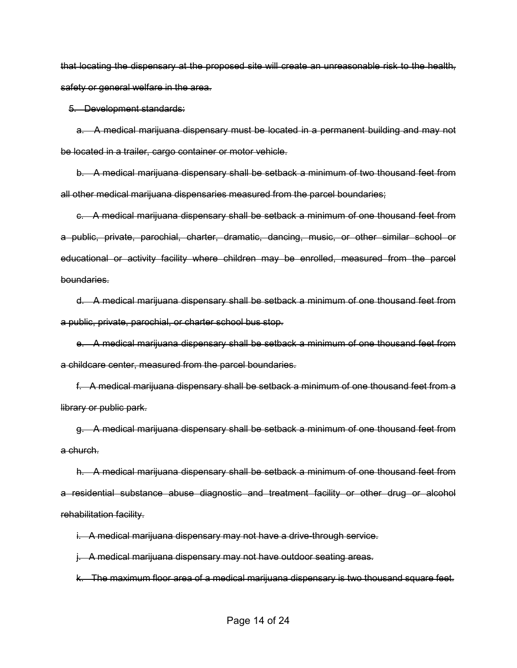that locating the dispensary at the proposed site will create an unreasonable risk to the health, safety or general welfare in the area.

5. Development standards:

 a. A medical marijuana dispensary must be located in a permanent building and may not be located in a trailer, cargo container or motor vehicle.

 b. A medical marijuana dispensary shall be setback a minimum of two thousand feet from all other medical marijuana dispensaries measured from the parcel boundaries;

 c. A medical marijuana dispensary shall be setback a minimum of one thousand feet from a public, private, parochial, charter, dramatic, dancing, music, or other similar school or educational or activity facility where children may be enrolled, measured from the parcel boundaries.

 d. A medical marijuana dispensary shall be setback a minimum of one thousand feet from a public, private, parochial, or charter school bus stop.

 e. A medical marijuana dispensary shall be setback a minimum of one thousand feet from a childcare center, measured from the parcel boundaries.

 f. A medical marijuana dispensary shall be setback a minimum of one thousand feet from a library or public park.

 g. A medical marijuana dispensary shall be setback a minimum of one thousand feet from a church.

 h. A medical marijuana dispensary shall be setback a minimum of one thousand feet from a residential substance abuse diagnostic and treatment facility or other drug or alcohol rehabilitation facility.

i. A medical marijuana dispensary may not have a drive-through service.

j. A medical marijuana dispensary may not have outdoor seating areas.

k. The maximum floor area of a medical marijuana dispensary is two thousand square feet.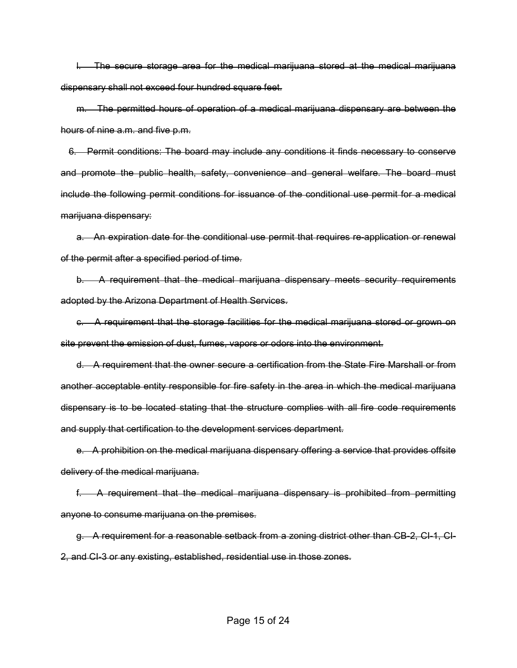l. The secure storage area for the medical marijuana stored at the medical marijuana dispensary shall not exceed four hundred square feet.

 m. The permitted hours of operation of a medical marijuana dispensary are between the hours of nine a.m. and five p.m.

 6. Permit conditions: The board may include any conditions it finds necessary to conserve and promote the public health, safety, convenience and general welfare. The board must include the following permit conditions for issuance of the conditional use permit for a medical marijuana dispensary:

 a. An expiration date for the conditional use permit that requires re-application or renewal of the permit after a specified period of time.

 b. A requirement that the medical marijuana dispensary meets security requirements adopted by the Arizona Department of Health Services.

 c. A requirement that the storage facilities for the medical marijuana stored or grown on site prevent the emission of dust, fumes, vapors or odors into the environment.

 d. A requirement that the owner secure a certification from the State Fire Marshall or from another acceptable entity responsible for fire safety in the area in which the medical marijuana dispensary is to be located stating that the structure complies with all fire code requirements and supply that certification to the development services department.

 e. A prohibition on the medical marijuana dispensary offering a service that provides offsite delivery of the medical marijuana.

 f. A requirement that the medical marijuana dispensary is prohibited from permitting anyone to consume marijuana on the premises.

 g. A requirement for a reasonable setback from a zoning district other than CB-2, CI-1, CI-2, and CI-3 or any existing, established, residential use in those zones.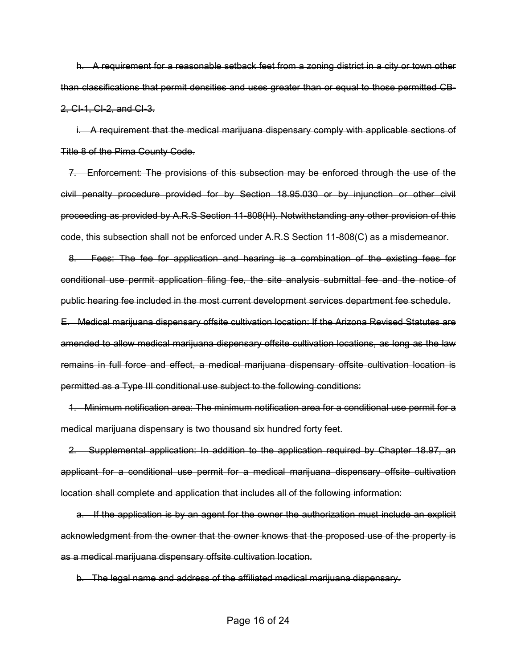h. A requirement for a reasonable setback feet from a zoning district in a city or town other than classifications that permit densities and uses greater than or equal to those permitted CB-2, CI-1, CI-2, and CI-3.

 i. A requirement that the medical marijuana dispensary comply with applicable sections of Title 8 of the Pima County Code.

 7. Enforcement: The provisions of this subsection may be enforced through the use of the civil penalty procedure provided for by Section 18.95.030 or by injunction or other civil proceeding as provided by A.R.S Section 11-808(H). Notwithstanding any other provision of this code, this subsection shall not be enforced under A.R.S Section 11-808(C) as a misdemeanor.

 8. Fees: The fee for application and hearing is a combination of the existing fees for conditional use permit application filing fee, the site analysis submittal fee and the notice of public hearing fee included in the most current development services department fee schedule. E. Medical marijuana dispensary offsite cultivation location: If the Arizona Revised Statutes are amended to allow medical marijuana dispensary offsite cultivation locations, as long as the law remains in full force and effect, a medical marijuana dispensary offsite cultivation location is permitted as a Type III conditional use subject to the following conditions:

 1. Minimum notification area: The minimum notification area for a conditional use permit for a medical marijuana dispensary is two thousand six hundred forty feet.

 2. Supplemental application: In addition to the application required by Chapter 18.97, an applicant for a conditional use permit for a medical marijuana dispensary offsite cultivation location shall complete and application that includes all of the following information:

a. If the application is by an agent for the owner the authorization must include an explicit acknowledgment from the owner that the owner knows that the proposed use of the property is as a medical marijuana dispensary offsite cultivation location.

b. The legal name and address of the affiliated medical marijuana dispensary.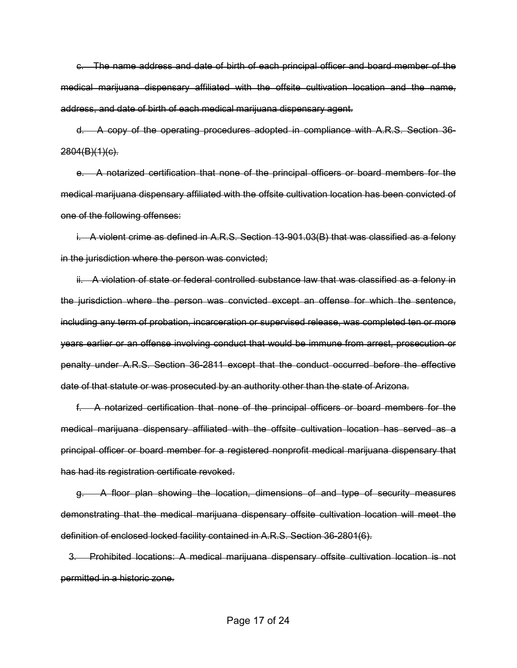c. The name address and date of birth of each principal officer and board member of the medical marijuana dispensary affiliated with the offsite cultivation location and the name, address, and date of birth of each medical marijuana dispensary agent.

 d. A copy of the operating procedures adopted in compliance with A.R.S. Section 36-  $2804(B)(1)(c)$ .

 e. A notarized certification that none of the principal officers or board members for the medical marijuana dispensary affiliated with the offsite cultivation location has been convicted of one of the following offenses:

 i. A violent crime as defined in A.R.S. Section 13-901.03(B) that was classified as a felony in the jurisdiction where the person was convicted;

ii. A violation of state or federal controlled substance law that was classified as a felony in the jurisdiction where the person was convicted except an offense for which the sentence, including any term of probation, incarceration or supervised release, was completed ten or more years earlier or an offense involving conduct that would be immune from arrest, prosecution or penalty under A.R.S. Section 36-2811 except that the conduct occurred before the effective date of that statute or was prosecuted by an authority other than the state of Arizona.

 f. A notarized certification that none of the principal officers or board members for the medical marijuana dispensary affiliated with the offsite cultivation location has served as a principal officer or board member for a registered nonprofit medical marijuana dispensary that has had its registration certificate revoked.

 g. A floor plan showing the location, dimensions of and type of security measures demonstrating that the medical marijuana dispensary offsite cultivation location will meet the definition of enclosed locked facility contained in A.R.S. Section 36-2801(6).

 3. Prohibited locations: A medical marijuana dispensary offsite cultivation location is not permitted in a historic zone.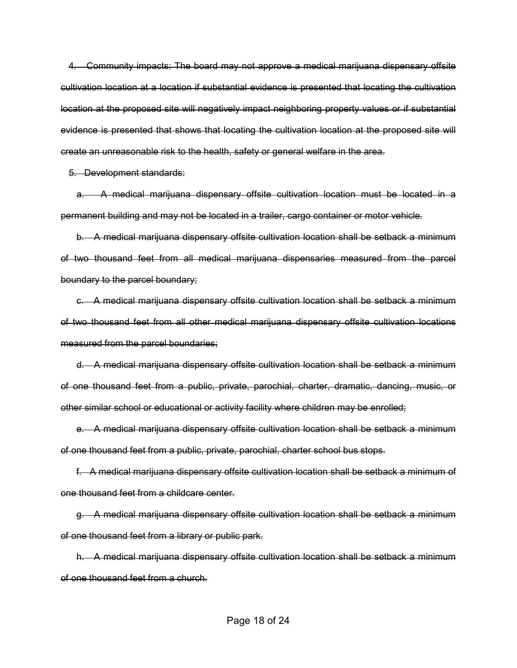4. Community impacts: The board may not approve a medical marijuana dispensary offsite cultivation location at a location if substantial evidence is presented that locating the cultivation location at the proposed site will negatively impact neighboring property values or if substantial evidence is presented that shows that locating the cultivation location at the proposed site will create an unreasonable risk to the health, safety or general welfare in the area.

5. Development standards:

 a. A medical marijuana dispensary offsite cultivation location must be located in a permanent building and may not be located in a trailer, cargo container or motor vehicle.

 b. A medical marijuana dispensary offsite cultivation location shall be setback a minimum of two thousand feet from all medical marijuana dispensaries measured from the parcel boundary to the parcel boundary;

 c. A medical marijuana dispensary offsite cultivation location shall be setback a minimum of two thousand feet from all other medical marijuana dispensary offsite cultivation locations measured from the parcel boundaries;

 d. A medical marijuana dispensary offsite cultivation location shall be setback a minimum of one thousand feet from a public, private, parochial, charter, dramatic, dancing, music, or other similar school or educational or activity facility where children may be enrolled;

 e. A medical marijuana dispensary offsite cultivation location shall be setback a minimum of one thousand feet from a public, private, parochial, charter school bus stops.

 f. A medical marijuana dispensary offsite cultivation location shall be setback a minimum of one thousand feet from a childcare center.

 g. A medical marijuana dispensary offsite cultivation location shall be setback a minimum of one thousand feet from a library or public park.

 h. A medical marijuana dispensary offsite cultivation location shall be setback a minimum of one thousand feet from a church.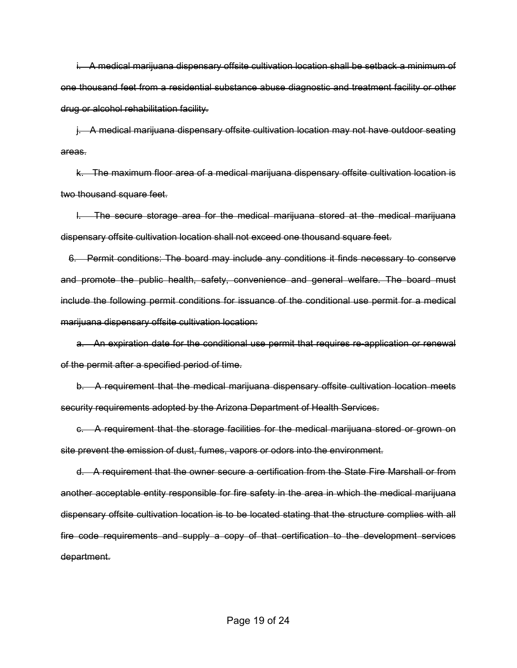i. A medical marijuana dispensary offsite cultivation location shall be setback a minimum of one thousand feet from a residential substance abuse diagnostic and treatment facility or other drug or alcohol rehabilitation facility.

 j. A medical marijuana dispensary offsite cultivation location may not have outdoor seating areas.

 k. The maximum floor area of a medical marijuana dispensary offsite cultivation location is two thousand square feet.

 l. The secure storage area for the medical marijuana stored at the medical marijuana dispensary offsite cultivation location shall not exceed one thousand square feet.

 6. Permit conditions: The board may include any conditions it finds necessary to conserve and promote the public health, safety, convenience and general welfare. The board must include the following permit conditions for issuance of the conditional use permit for a medical marijuana dispensary offsite cultivation location:

 a. An expiration date for the conditional use permit that requires re-application or renewal of the permit after a specified period of time.

 b. A requirement that the medical marijuana dispensary offsite cultivation location meets security requirements adopted by the Arizona Department of Health Services.

 c. A requirement that the storage facilities for the medical marijuana stored or grown on site prevent the emission of dust, fumes, vapors or odors into the environment.

 d. A requirement that the owner secure a certification from the State Fire Marshall or from another acceptable entity responsible for fire safety in the area in which the medical marijuana dispensary offsite cultivation location is to be located stating that the structure complies with all fire code requirements and supply a copy of that certification to the development services department.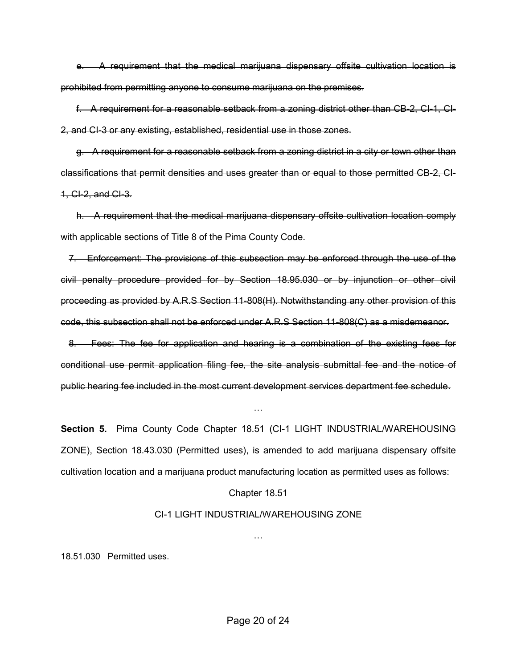e. A requirement that the medical marijuana dispensary offsite cultivation location is prohibited from permitting anyone to consume marijuana on the premises.

 f. A requirement for a reasonable setback from a zoning district other than CB-2, CI-1, CI-2, and CI-3 or any existing, established, residential use in those zones.

 g. A requirement for a reasonable setback from a zoning district in a city or town other than classifications that permit densities and uses greater than or equal to those permitted CB-2, CI-1, CI-2, and CI-3.

 h. A requirement that the medical marijuana dispensary offsite cultivation location comply with applicable sections of Title 8 of the Pima County Code.

 7. Enforcement: The provisions of this subsection may be enforced through the use of the civil penalty procedure provided for by Section 18.95.030 or by injunction or other civil proceeding as provided by A.R.S Section 11-808(H). Notwithstanding any other provision of this code, this subsection shall not be enforced under A.R.S Section 11-808(C) as a misdemeanor.

 8. Fees: The fee for application and hearing is a combination of the existing fees for conditional use permit application filing fee, the site analysis submittal fee and the notice of public hearing fee included in the most current development services department fee schedule.

**Section 5.** Pima County Code Chapter 18.51 (CI-1 LIGHT INDUSTRIAL/WAREHOUSING ZONE), Section 18.43.030 (Permitted uses), is amended to add marijuana dispensary offsite cultivation location and a marijuana product manufacturing location as permitted uses as follows:

…

#### Chapter 18.51

#### CI-1 LIGHT INDUSTRIAL/WAREHOUSING ZONE

…

18.51.030 Permitted uses.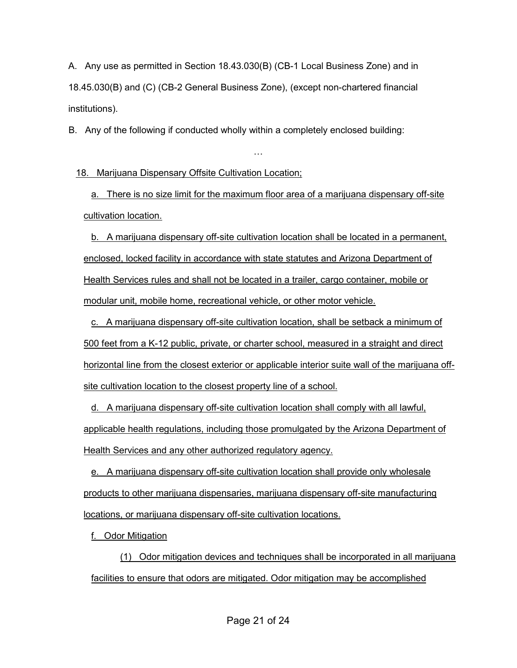A. Any use as permitted in Section 18.43.030(B) (CB-1 Local Business Zone) and in 18.45.030(B) and (C) (CB-2 General Business Zone), (except non-chartered financial institutions).

B. Any of the following if conducted wholly within a completely enclosed building:

18. Marijuana Dispensary Offsite Cultivation Location;

a. There is no size limit for the maximum floor area of a marijuana dispensary off-site cultivation location.

…

b. A marijuana dispensary off-site cultivation location shall be located in a permanent, enclosed, locked facility in accordance with state statutes and Arizona Department of Health Services rules and shall not be located in a trailer, cargo container, mobile or modular unit, mobile home, recreational vehicle, or other motor vehicle.

c. A marijuana dispensary off-site cultivation location, shall be setback a minimum of 500 feet from a K-12 public, private, or charter school, measured in a straight and direct horizontal line from the closest exterior or applicable interior suite wall of the marijuana offsite cultivation location to the closest property line of a school.

d. A marijuana dispensary off-site cultivation location shall comply with all lawful, applicable health regulations, including those promulgated by the Arizona Department of Health Services and any other authorized regulatory agency.

e. A marijuana dispensary off-site cultivation location shall provide only wholesale products to other marijuana dispensaries, marijuana dispensary off-site manufacturing locations, or marijuana dispensary off-site cultivation locations.

f. Odor Mitigation

 (1) Odor mitigation devices and techniques shall be incorporated in all marijuana facilities to ensure that odors are mitigated. Odor mitigation may be accomplished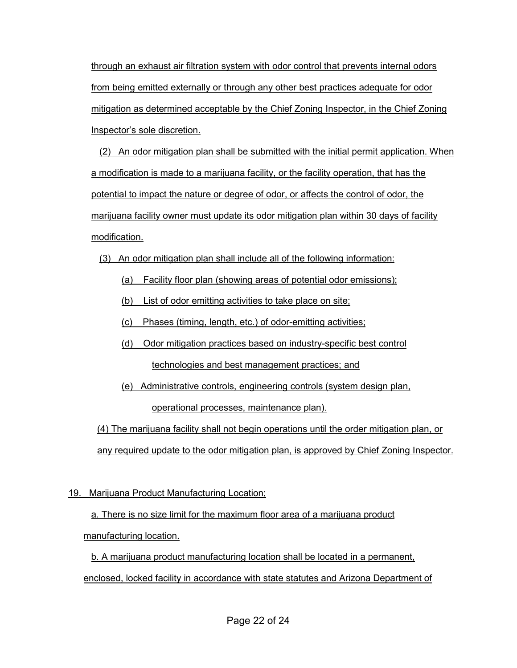through an exhaust air filtration system with odor control that prevents internal odors from being emitted externally or through any other best practices adequate for odor mitigation as determined acceptable by the Chief Zoning Inspector, in the Chief Zoning Inspector's sole discretion.

(2) An odor mitigation plan shall be submitted with the initial permit application. When a modification is made to a marijuana facility, or the facility operation, that has the potential to impact the nature or degree of odor, or affects the control of odor, the marijuana facility owner must update its odor mitigation plan within 30 days of facility modification.

- (3) An odor mitigation plan shall include all of the following information:
	- (a) Facility floor plan (showing areas of potential odor emissions);
	- (b) List of odor emitting activities to take place on site;
	- (c) Phases (timing, length, etc.) of odor-emitting activities;
	- (d) Odor mitigation practices based on industry-specific best control technologies and best management practices; and
	- (e) Administrative controls, engineering controls (system design plan, operational processes, maintenance plan).

(4) The marijuana facility shall not begin operations until the order mitigation plan, or any required update to the odor mitigation plan, is approved by Chief Zoning Inspector.

# 19. Marijuana Product Manufacturing Location;

# a. There is no size limit for the maximum floor area of a marijuana product manufacturing location.

b. A marijuana product manufacturing location shall be located in a permanent, enclosed, locked facility in accordance with state statutes and Arizona Department of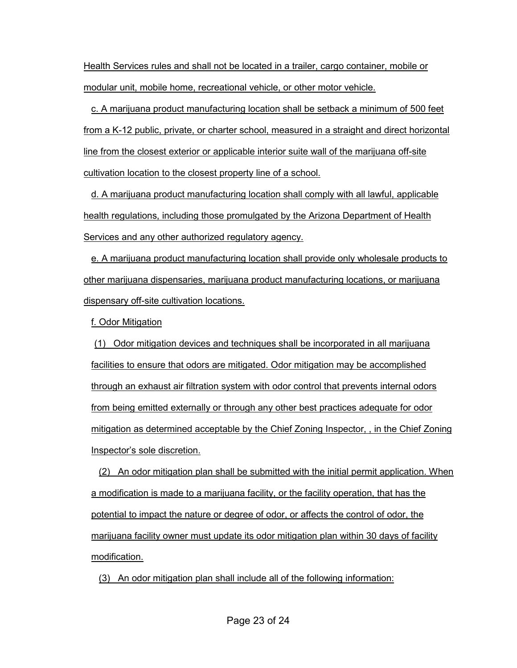Health Services rules and shall not be located in a trailer, cargo container, mobile or modular unit, mobile home, recreational vehicle, or other motor vehicle.

c. A marijuana product manufacturing location shall be setback a minimum of 500 feet from a K-12 public, private, or charter school, measured in a straight and direct horizontal line from the closest exterior or applicable interior suite wall of the marijuana off-site cultivation location to the closest property line of a school.

d. A marijuana product manufacturing location shall comply with all lawful, applicable health regulations, including those promulgated by the Arizona Department of Health Services and any other authorized regulatory agency.

e. A marijuana product manufacturing location shall provide only wholesale products to other marijuana dispensaries, marijuana product manufacturing locations, or marijuana dispensary off-site cultivation locations.

f. Odor Mitigation

(1) Odor mitigation devices and techniques shall be incorporated in all marijuana facilities to ensure that odors are mitigated. Odor mitigation may be accomplished through an exhaust air filtration system with odor control that prevents internal odors from being emitted externally or through any other best practices adequate for odor mitigation as determined acceptable by the Chief Zoning Inspector, , in the Chief Zoning Inspector's sole discretion.

(2) An odor mitigation plan shall be submitted with the initial permit application. When a modification is made to a marijuana facility, or the facility operation, that has the potential to impact the nature or degree of odor, or affects the control of odor, the marijuana facility owner must update its odor mitigation plan within 30 days of facility modification.

(3) An odor mitigation plan shall include all of the following information: